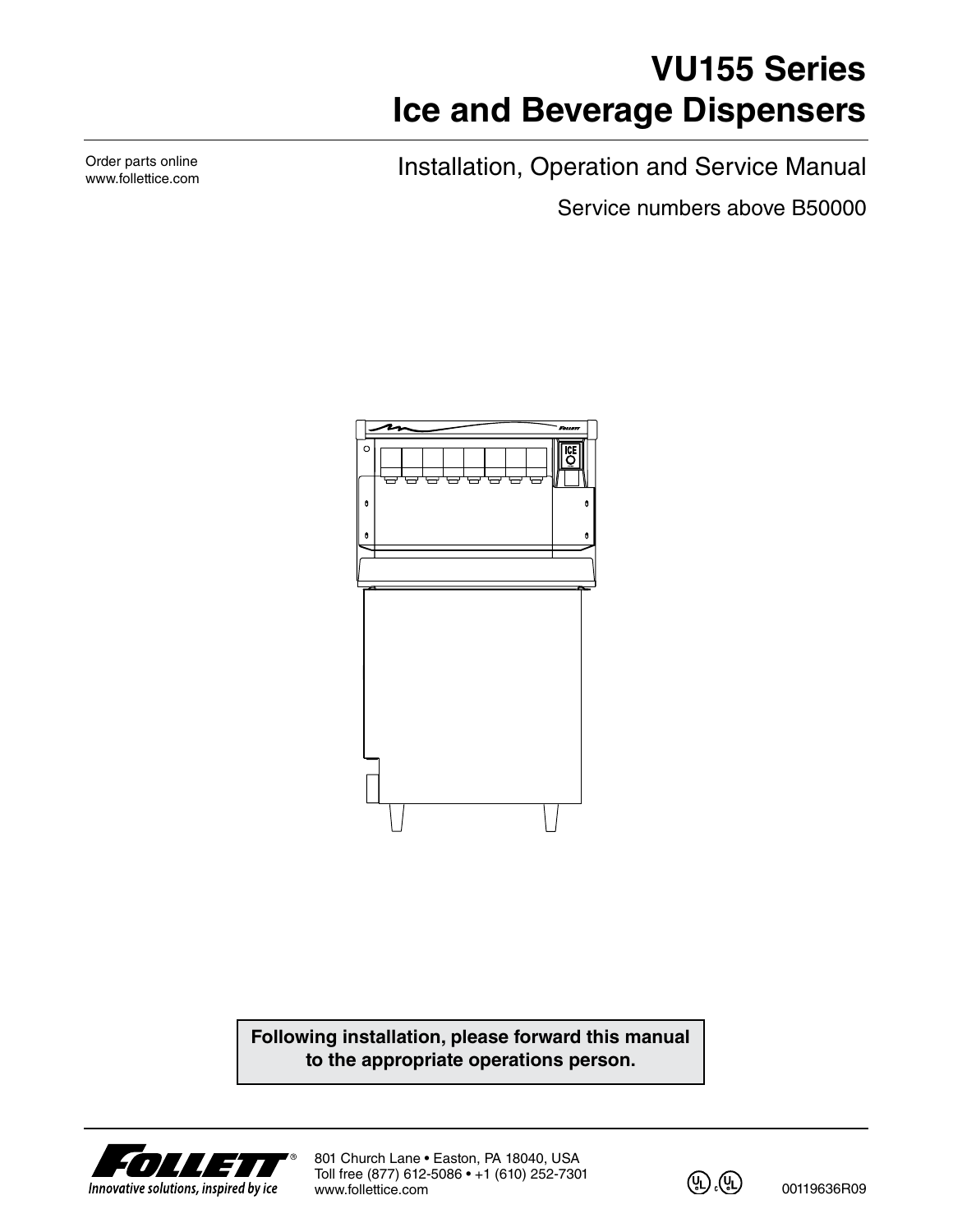# **VU155 Series Ice and Beverage Dispensers**

Installation, Operation and Service Manual

Service numbers above B50000



**Following installation, please forward this manual to the appropriate operations person.**



801 Church Lane • Easton, PA 18040, USA Toll free (877) 612-5086 • +1 (610) 252-7301 www.follettice.com



00119636R09

Order parts online www.follettice.com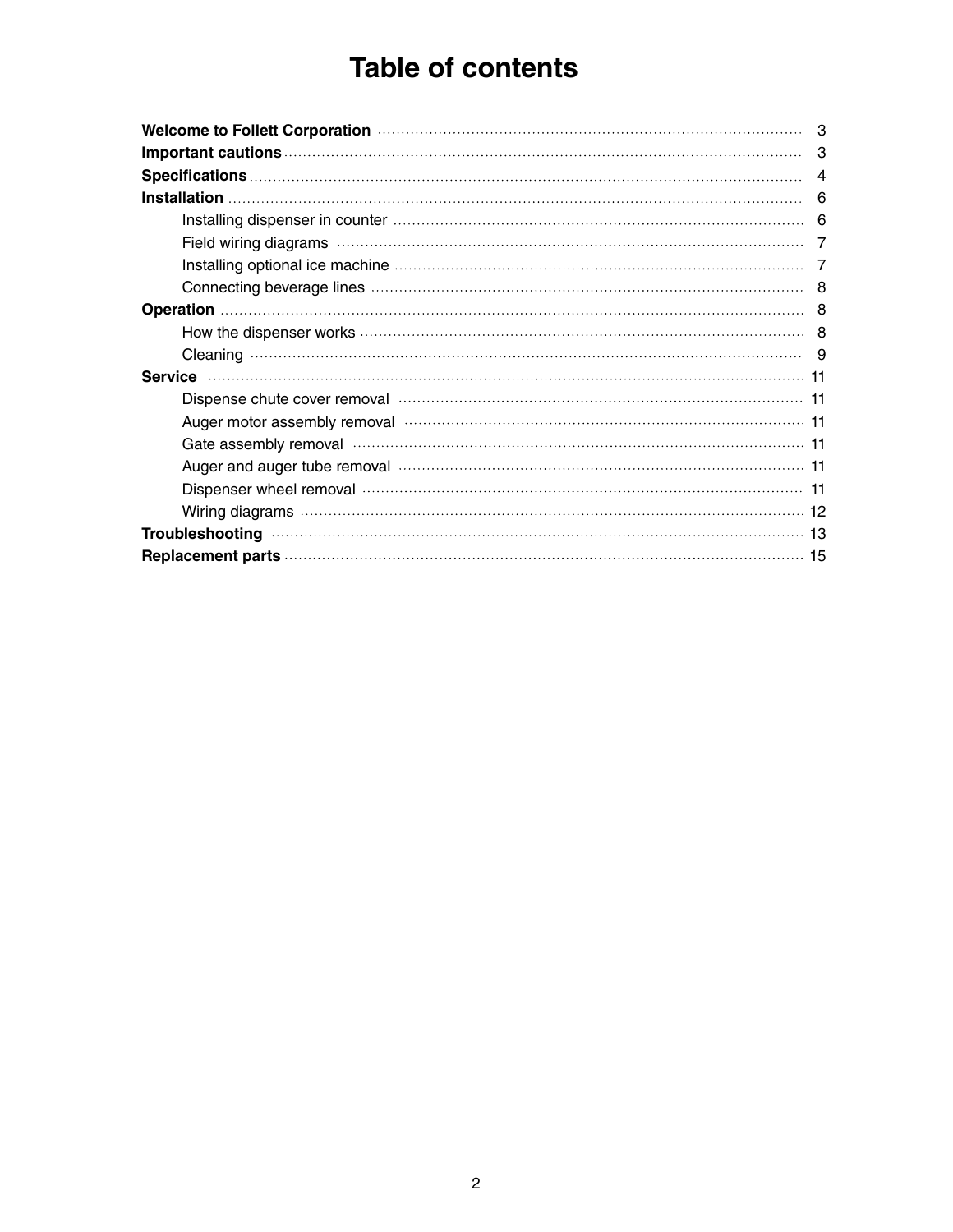# **Table of contents**

|                                                                                                                                                                                                                                | 3 |
|--------------------------------------------------------------------------------------------------------------------------------------------------------------------------------------------------------------------------------|---|
|                                                                                                                                                                                                                                |   |
|                                                                                                                                                                                                                                | 4 |
|                                                                                                                                                                                                                                | 6 |
|                                                                                                                                                                                                                                |   |
|                                                                                                                                                                                                                                |   |
|                                                                                                                                                                                                                                |   |
|                                                                                                                                                                                                                                |   |
|                                                                                                                                                                                                                                |   |
|                                                                                                                                                                                                                                |   |
|                                                                                                                                                                                                                                |   |
|                                                                                                                                                                                                                                |   |
|                                                                                                                                                                                                                                |   |
| Auger motor assembly removal manufactured contains and the following the following formula to the following the                                                                                                                |   |
| Gate assembly removal measurements are constructed as a fit of the constraint for the constraint for the constraint for the constraint for the constraint for the constraint for the constraint for the constraint for the con |   |
| Auger and auger tube removal manufactured contains and an analyzing the Auger and auger tube removal                                                                                                                           |   |
|                                                                                                                                                                                                                                |   |
|                                                                                                                                                                                                                                |   |
|                                                                                                                                                                                                                                |   |
|                                                                                                                                                                                                                                |   |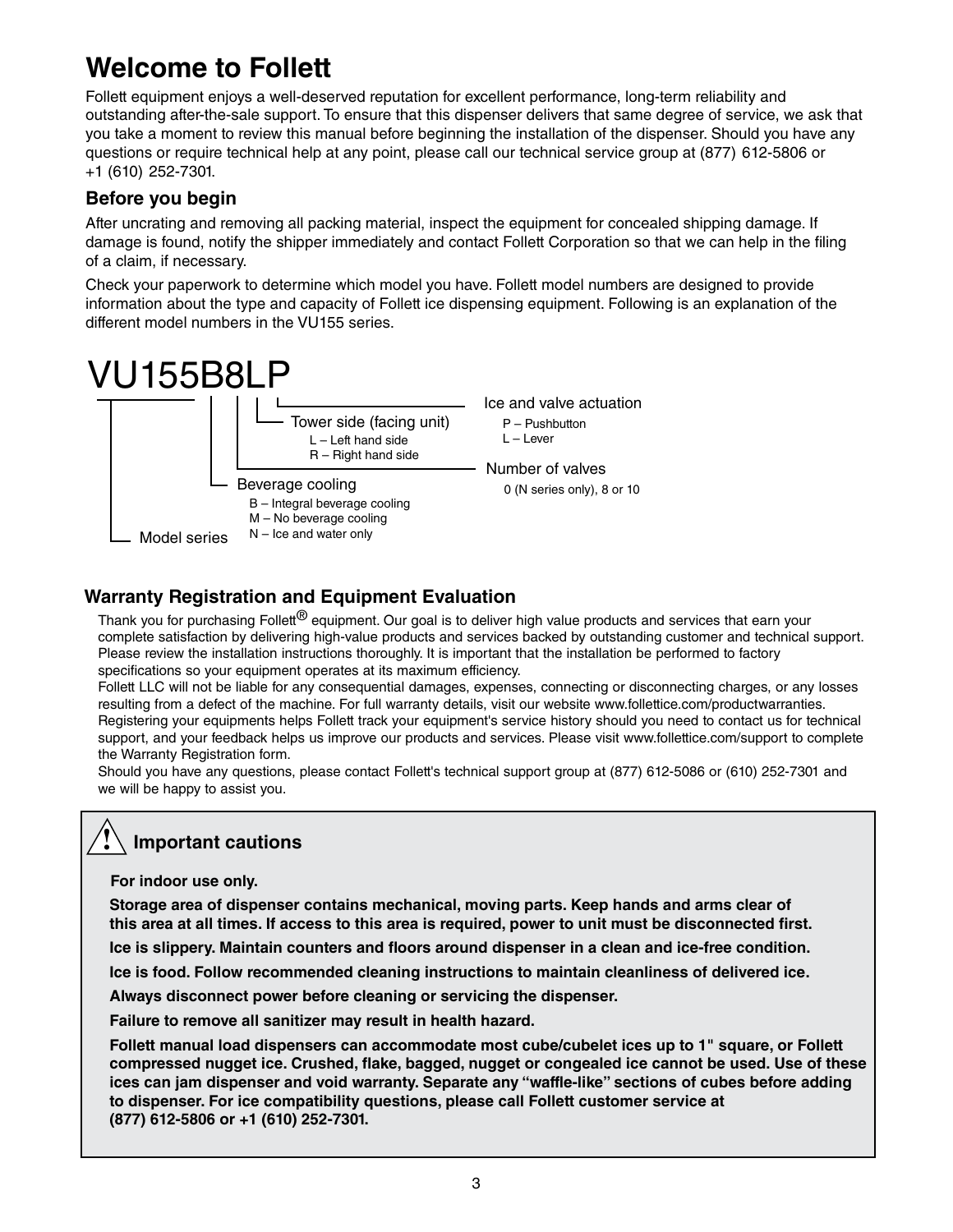# **Welcome to Follett**

Follett equipment enjoys a well-deserved reputation for excellent performance, long-term reliability and outstanding after-the-sale support. To ensure that this dispenser delivers that same degree of service, we ask that you take a moment to review this manual before beginning the installation of the dispenser. Should you have any questions or require technical help at any point, please call our technical service group at (877) 612-5806 or +1 (610) 252-7301.

### **Before you begin**

After uncrating and removing all packing material, inspect the equipment for concealed shipping damage. If damage is found, notify the shipper immediately and contact Follett Corporation so that we can help in the filing of a claim, if necessary.

Check your paperwork to determine which model you have. Follett model numbers are designed to provide information about the type and capacity of Follett ice dispensing equipment. Following is an explanation of the different model numbers in the VU155 series.



### **Warranty Registration and Equipment Evaluation**

Thank you for purchasing Follett<sup>®</sup> equipment. Our goal is to deliver high value products and services that earn your complete satisfaction by delivering high-value products and services backed by outstanding customer and technical support. Please review the installation instructions thoroughly. It is important that the installation be performed to factory specifications so your equipment operates at its maximum efficiency.

Follett LLC will not be liable for any consequential damages, expenses, connecting or disconnecting charges, or any losses resulting from a defect of the machine. For full warranty details, visit our website www.follettice.com/productwarranties. Registering your equipments helps Follett track your equipment's service history should you need to contact us for technical support, and your feedback helps us improve our products and services. Please visit www.follettice.com/support to complete the Warranty Registration form.

Should you have any questions, please contact Follett's technical support group at (877) 612-5086 or (610) 252-7301 and we will be happy to assist you.

#### **Important cautions !**

**For indoor use only.**

**Storage area of dispenser contains mechanical, moving parts. Keep hands and arms clear of this area at all times. If access to this area is required, power to unit must be disconnected first.**

**Ice is slippery. Maintain counters and floors around dispenser in a clean and ice-free condition.**

**Ice is food. Follow recommended cleaning instructions to maintain cleanliness of delivered ice.**

**Always disconnect power before cleaning or servicing the dispenser.**

**Failure to remove all sanitizer may result in health hazard.**

**Follett manual load dispensers can accommodate most cube/cubelet ices up to 1" square, or Follett compressed nugget ice. Crushed, flake, bagged, nugget or congealed ice cannot be used. Use of these ices can jam dispenser and void warranty. Separate any "waffle-like" sections of cubes before adding to dispenser. For ice compatibility questions, please call Follett customer service at (877) 612-5806 or +1 (610) 252-7301.**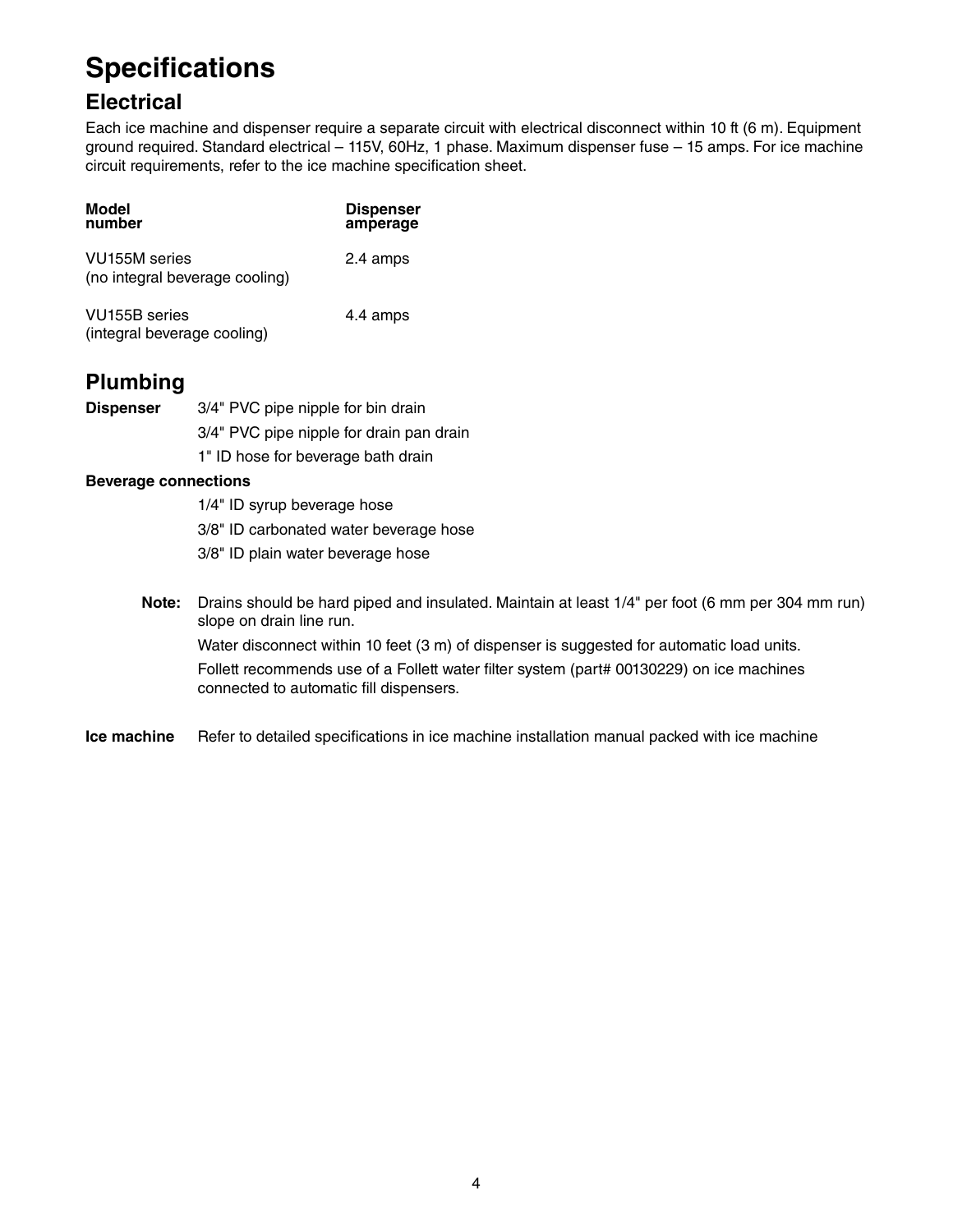# **Specifications**

## **Electrical**

Each ice machine and dispenser require a separate circuit with electrical disconnect within 10 ft (6 m). Equipment ground required. Standard electrical – 115V, 60Hz, 1 phase. Maximum dispenser fuse – 15 amps. For ice machine circuit requirements, refer to the ice machine specification sheet.

| Model<br>number                                              | <b>Dispenser</b><br>amperage |
|--------------------------------------------------------------|------------------------------|
| VU <sub>155</sub> M series<br>(no integral beverage cooling) | 2.4 amps                     |
| VU155B series<br>(integral beverage cooling)                 | 4.4 amps                     |

## **Plumbing**

| <b>Dispenser</b> | 3/4" PVC pipe nipple for bin drain       |
|------------------|------------------------------------------|
|                  | 3/4" PVC pipe nipple for drain pan drain |
|                  | 1" ID hose for beverage bath drain       |

#### **Beverage connections**

 1/4" ID syrup beverage hose 3/8" ID carbonated water beverage hose 3/8" ID plain water beverage hose

**Note:** Drains should be hard piped and insulated. Maintain at least 1/4" per foot (6 mm per 304 mm run) slope on drain line run.

Water disconnect within 10 feet (3 m) of dispenser is suggested for automatic load units. Follett recommends use of a Follett water filter system (part# 00130229) on ice machines connected to automatic fill dispensers.

**Ice machine** Refer to detailed specifications in ice machine installation manual packed with ice machine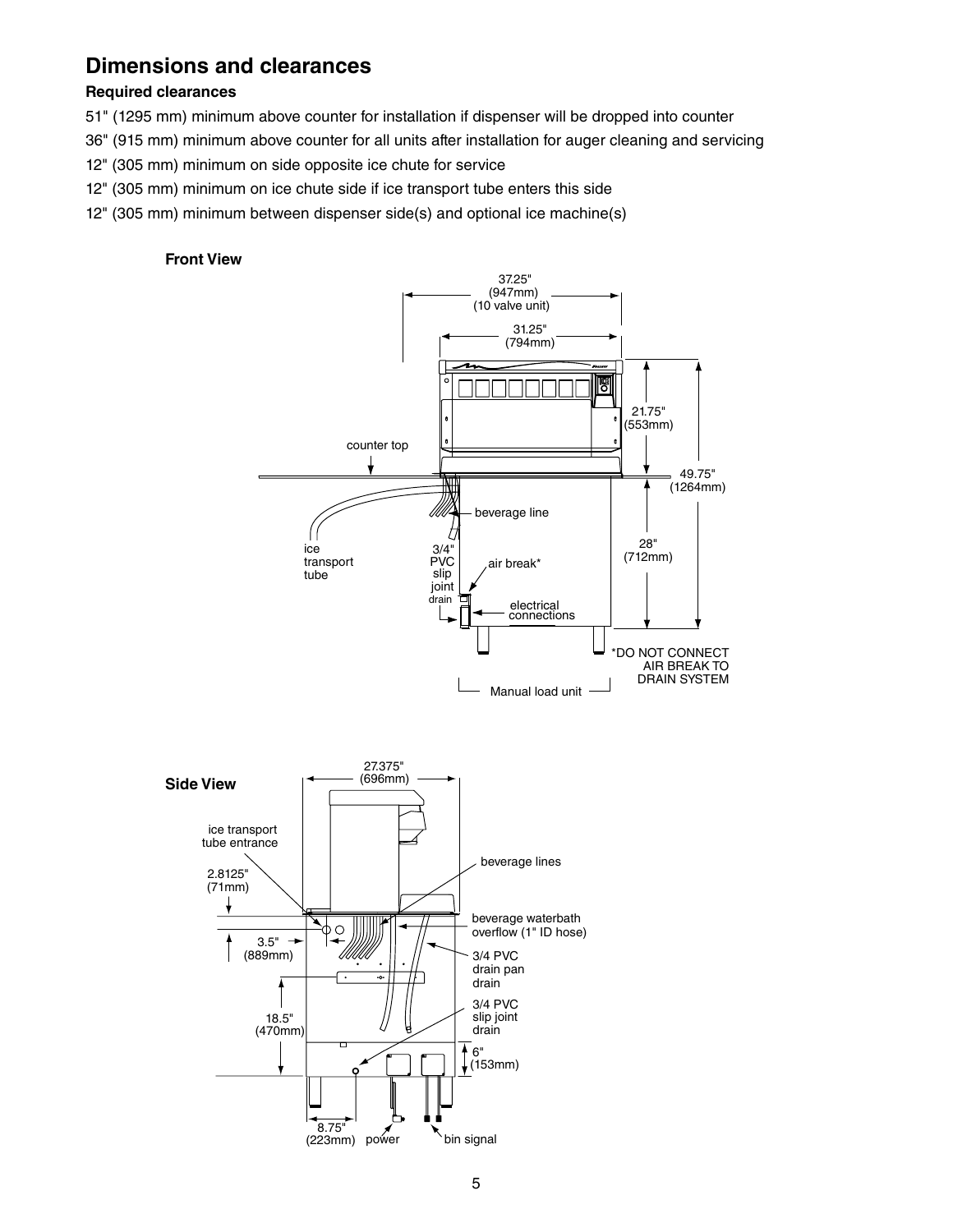## **Dimensions and clearances**

#### **Required clearances**

- 51" (1295 mm) minimum above counter for installation if dispenser will be dropped into counter
- 36" (915 mm) minimum above counter for all units after installation for auger cleaning and servicing
- 12" (305 mm) minimum on side opposite ice chute for service
- 12" (305 mm) minimum on ice chute side if ice transport tube enters this side
- 12" (305 mm) minimum between dispenser side(s) and optional ice machine(s)

#### **Front View**



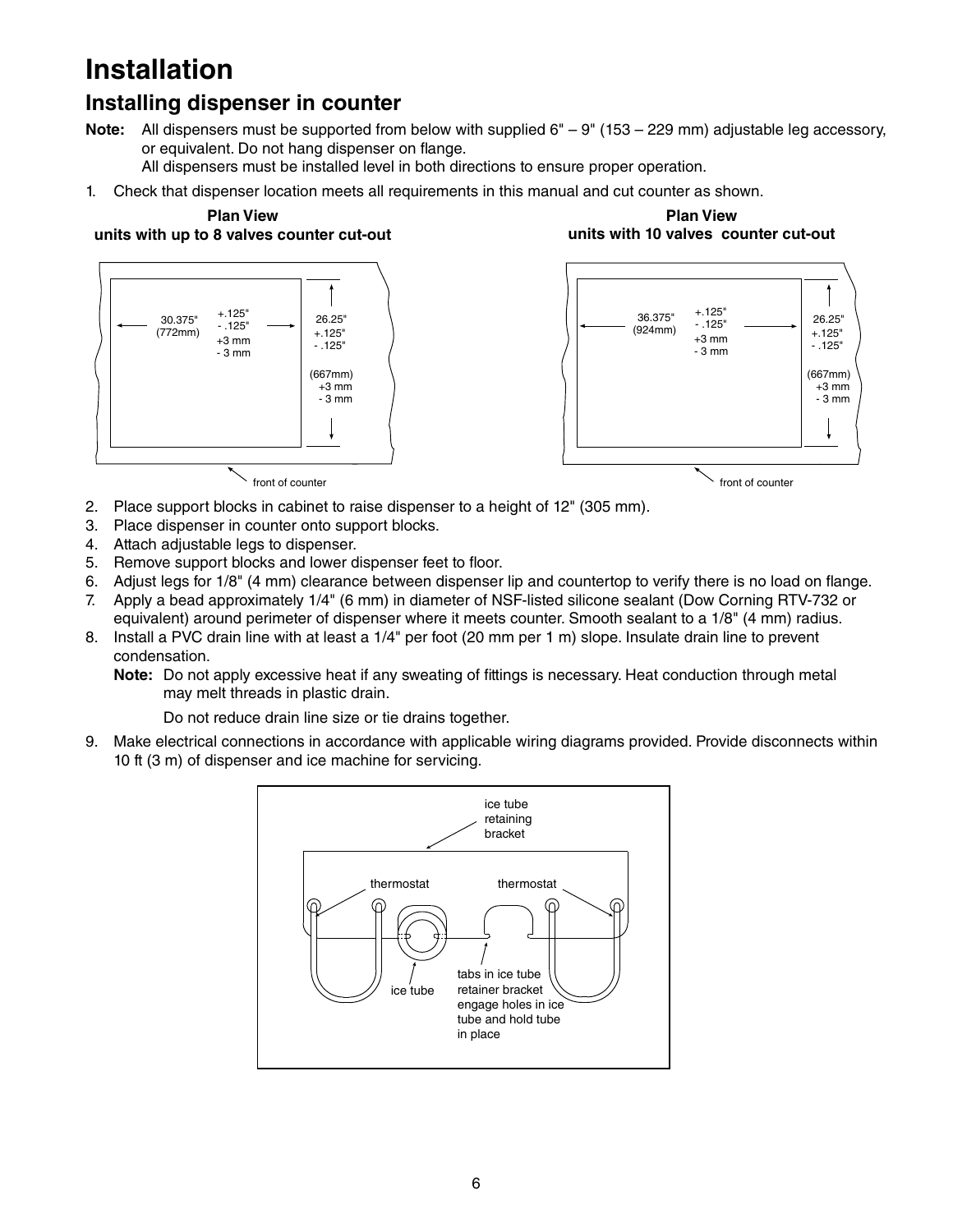# **Installation**

## **Installing dispenser in counter**

**Note:** All dispensers must be supported from below with supplied 6" – 9" (153 – 229 mm) adjustable leg accessory, or equivalent. Do not hang dispenser on flange.

All dispensers must be installed level in both directions to ensure proper operation.

1. Check that dispenser location meets all requirements in this manual and cut counter as shown.

#### **Plan View**

**units with up to 8 valves counter cut-out** 





**Plan View** 

front of counter

front of counter

- 2. Place support blocks in cabinet to raise dispenser to a height of 12" (305 mm).
- 3. Place dispenser in counter onto support blocks.
- 4. Attach adjustable legs to dispenser.
- 5. Remove support blocks and lower dispenser feet to floor.
- 6. Adjust legs for 1/8" (4 mm) clearance between dispenser lip and countertop to verify there is no load on flange.
- 7. Apply a bead approximately 1/4" (6 mm) in diameter of NSF-listed silicone sealant (Dow Corning RTV-732 or equivalent) around perimeter of dispenser where it meets counter. Smooth sealant to a 1/8" (4 mm) radius.
- 8. Install a PVC drain line with at least a 1/4" per foot (20 mm per 1 m) slope. Insulate drain line to prevent condensation.
	- **Note:** Do not apply excessive heat if any sweating of fittings is necessary. Heat conduction through metal may melt threads in plastic drain.

Do not reduce drain line size or tie drains together.

9. Make electrical connections in accordance with applicable wiring diagrams provided. Provide disconnects within 10 ft (3 m) of dispenser and ice machine for servicing.

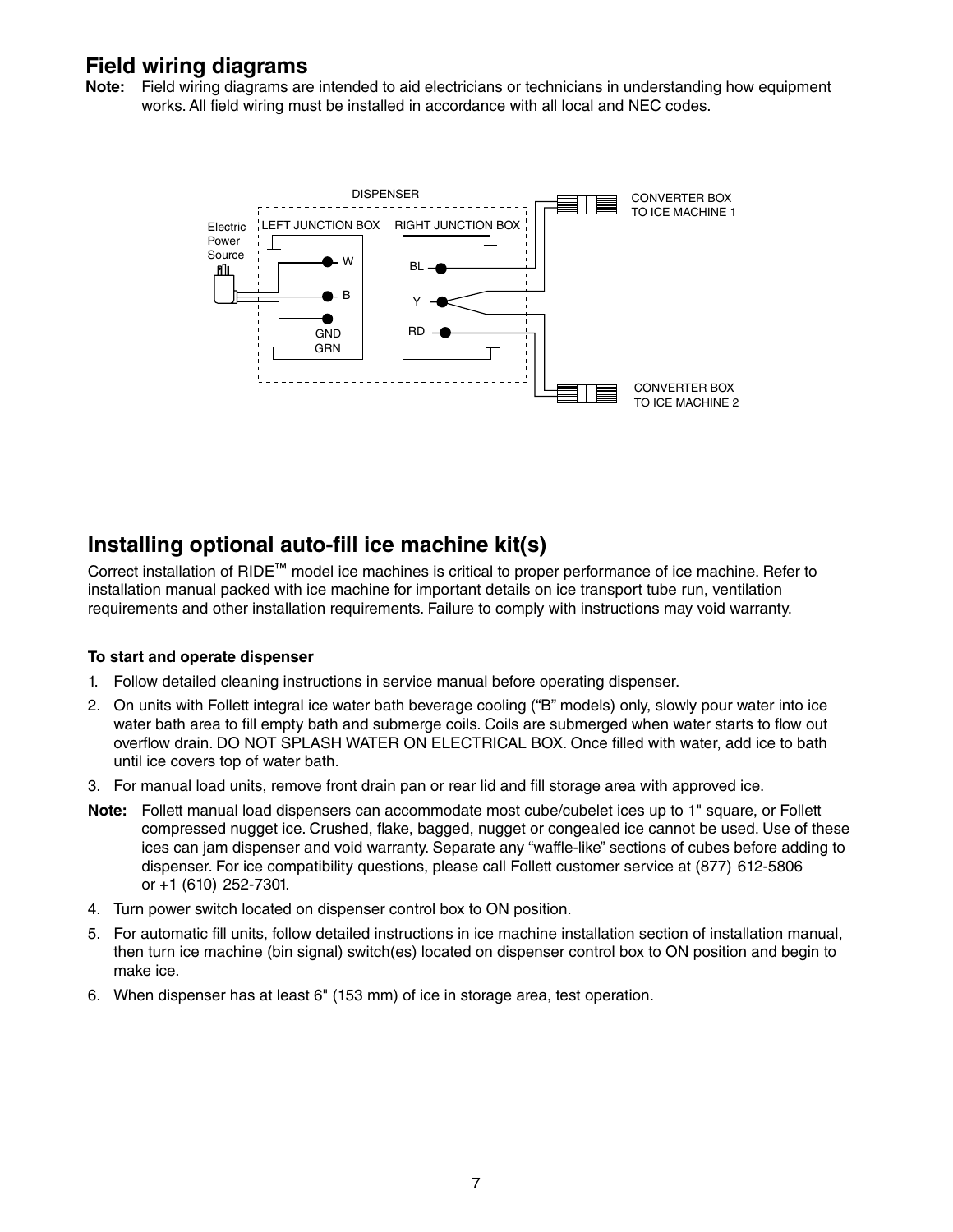## **Field wiring diagrams**

**Note:** Field wiring diagrams are intended to aid electricians or technicians in understanding how equipment works. All field wiring must be installed in accordance with all local and NEC codes.



## **Installing optional auto-fill ice machine kit(s)**

Correct installation of RIDE™ model ice machines is critical to proper performance of ice machine. Refer to installation manual packed with ice machine for important details on ice transport tube run, ventilation requirements and other installation requirements. Failure to comply with instructions may void warranty.

#### **To start and operate dispenser**

- 1. Follow detailed cleaning instructions in service manual before operating dispenser.
- 2. On units with Follett integral ice water bath beverage cooling ("B" models) only, slowly pour water into ice water bath area to fill empty bath and submerge coils. Coils are submerged when water starts to flow out overflow drain. DO NOT SPLASH WATER ON ELECTRICAL BOX. Once filled with water, add ice to bath until ice covers top of water bath.
- 3. For manual load units, remove front drain pan or rear lid and fill storage area with approved ice.
- **Note:** Follett manual load dispensers can accommodate most cube/cubelet ices up to 1" square, or Follett compressed nugget ice. Crushed, flake, bagged, nugget or congealed ice cannot be used. Use of these ices can jam dispenser and void warranty. Separate any "waffle-like" sections of cubes before adding to dispenser. For ice compatibility questions, please call Follett customer service at (877) 612-5806 or +1 (610) 252-7301.
- 4. Turn power switch located on dispenser control box to ON position.
- 5. For automatic fill units, follow detailed instructions in ice machine installation section of installation manual, then turn ice machine (bin signal) switch(es) located on dispenser control box to ON position and begin to make ice.
- 6. When dispenser has at least 6" (153 mm) of ice in storage area, test operation.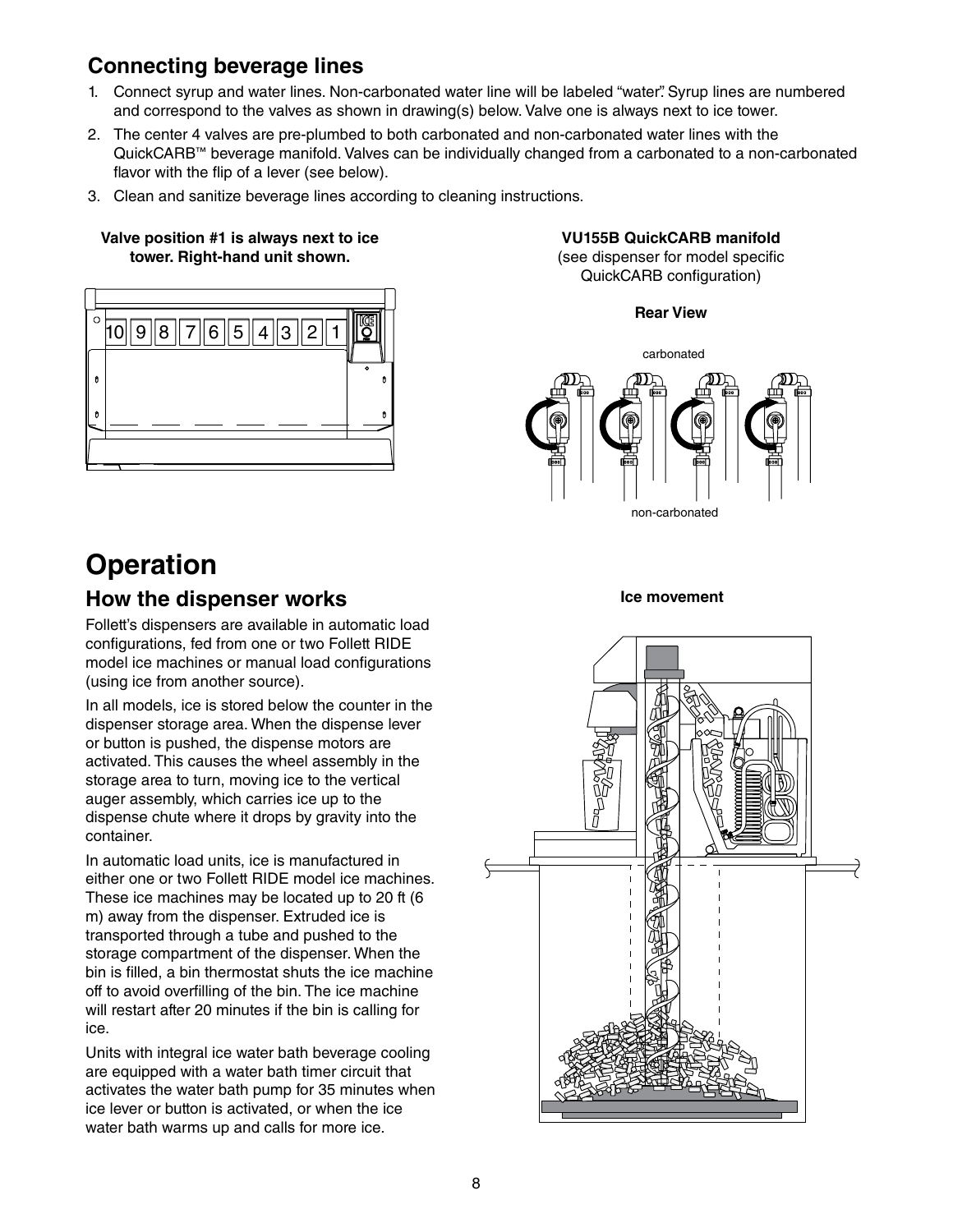## **Connecting beverage lines**

- 1. Connect syrup and water lines. Non-carbonated water line will be labeled "water". Syrup lines are numbered and correspond to the valves as shown in drawing(s) below. Valve one is always next to ice tower.
- 2. The center 4 valves are pre-plumbed to both carbonated and non-carbonated water lines with the QuickCARB™ beverage manifold. Valves can be individually changed from a carbonated to a non-carbonated flavor with the flip of a lever (see below).
- 3. Clean and sanitize beverage lines according to cleaning instructions.

#### **Valve position #1 is always next to ice tower. Right-hand unit shown.**



**Operation**

## **How the dispenser works**

Follett's dispensers are available in automatic load configurations, fed from one or two Follett RIDE model ice machines or manual load configurations (using ice from another source).

In all models, ice is stored below the counter in the dispenser storage area. When the dispense lever or button is pushed, the dispense motors are activated. This causes the wheel assembly in the storage area to turn, moving ice to the vertical auger assembly, which carries ice up to the dispense chute where it drops by gravity into the container.

In automatic load units, ice is manufactured in either one or two Follett RIDE model ice machines. These ice machines may be located up to 20 ft (6 m) away from the dispenser. Extruded ice is transported through a tube and pushed to the storage compartment of the dispenser. When the bin is filled, a bin thermostat shuts the ice machine off to avoid overfilling of the bin. The ice machine will restart after 20 minutes if the bin is calling for ice.

Units with integral ice water bath beverage cooling are equipped with a water bath timer circuit that activates the water bath pump for 35 minutes when ice lever or button is activated, or when the ice water bath warms up and calls for more ice.

#### **VU155B QuickCARB manifold** (see dispenser for model specific QuickCARB configuration)





#### **Ice movement**

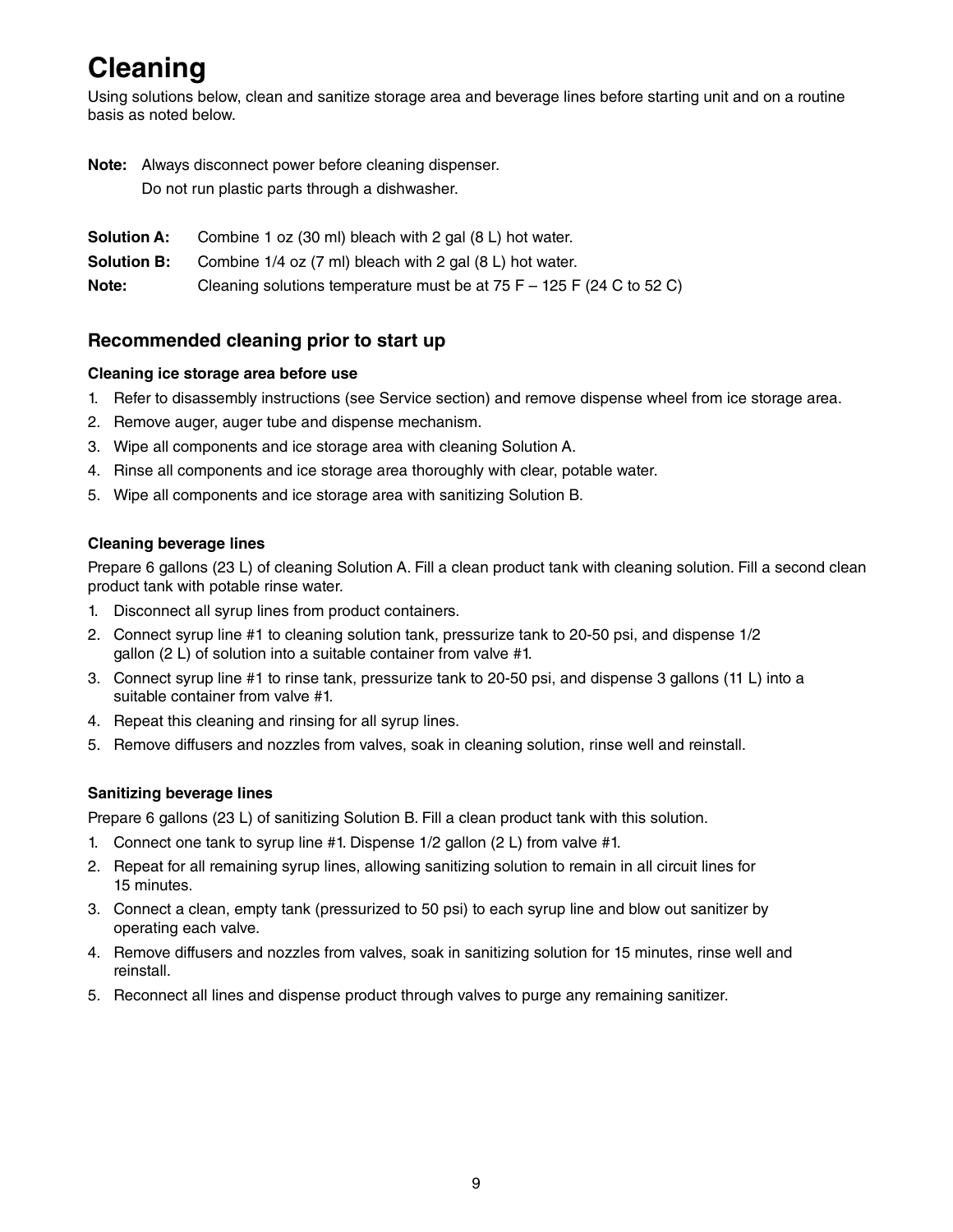# **Cleaning**

Using solutions below, clean and sanitize storage area and beverage lines before starting unit and on a routine basis as noted below.

**Note:** Always disconnect power before cleaning dispenser.

Do not run plastic parts through a dishwasher.

- **Solution A:** Combine 1 oz (30 ml) bleach with 2 gal (8 L) hot water.
- **Solution B:** Combine 1/4 oz (7 ml) bleach with 2 gal (8 L) hot water.

**Note:** Cleaning solutions temperature must be at 75 F – 125 F (24 C to 52 C)

### **Recommended cleaning prior to start up**

#### **Cleaning ice storage area before use**

- 1. Refer to disassembly instructions (see Service section) and remove dispense wheel from ice storage area.
- 2. Remove auger, auger tube and dispense mechanism.
- 3. Wipe all components and ice storage area with cleaning Solution A.
- 4. Rinse all components and ice storage area thoroughly with clear, potable water.
- 5. Wipe all components and ice storage area with sanitizing Solution B.

#### **Cleaning beverage lines**

Prepare 6 gallons (23 L) of cleaning Solution A. Fill a clean product tank with cleaning solution. Fill a second clean product tank with potable rinse water.

- 1. Disconnect all syrup lines from product containers.
- 2. Connect syrup line #1 to cleaning solution tank, pressurize tank to 20-50 psi, and dispense 1/2 gallon (2 L) of solution into a suitable container from valve #1.
- 3. Connect syrup line #1 to rinse tank, pressurize tank to 20-50 psi, and dispense 3 gallons (11 L) into a suitable container from valve #1.
- 4. Repeat this cleaning and rinsing for all syrup lines.
- 5. Remove diffusers and nozzles from valves, soak in cleaning solution, rinse well and reinstall.

#### **Sanitizing beverage lines**

Prepare 6 gallons (23 L) of sanitizing Solution B. Fill a clean product tank with this solution.

- 1. Connect one tank to syrup line #1. Dispense 1/2 gallon (2 L) from valve #1.
- 2. Repeat for all remaining syrup lines, allowing sanitizing solution to remain in all circuit lines for 15 minutes.
- 3. Connect a clean, empty tank (pressurized to 50 psi) to each syrup line and blow out sanitizer by operating each valve.
- 4. Remove diffusers and nozzles from valves, soak in sanitizing solution for 15 minutes, rinse well and reinstall.
- 5. Reconnect all lines and dispense product through valves to purge any remaining sanitizer.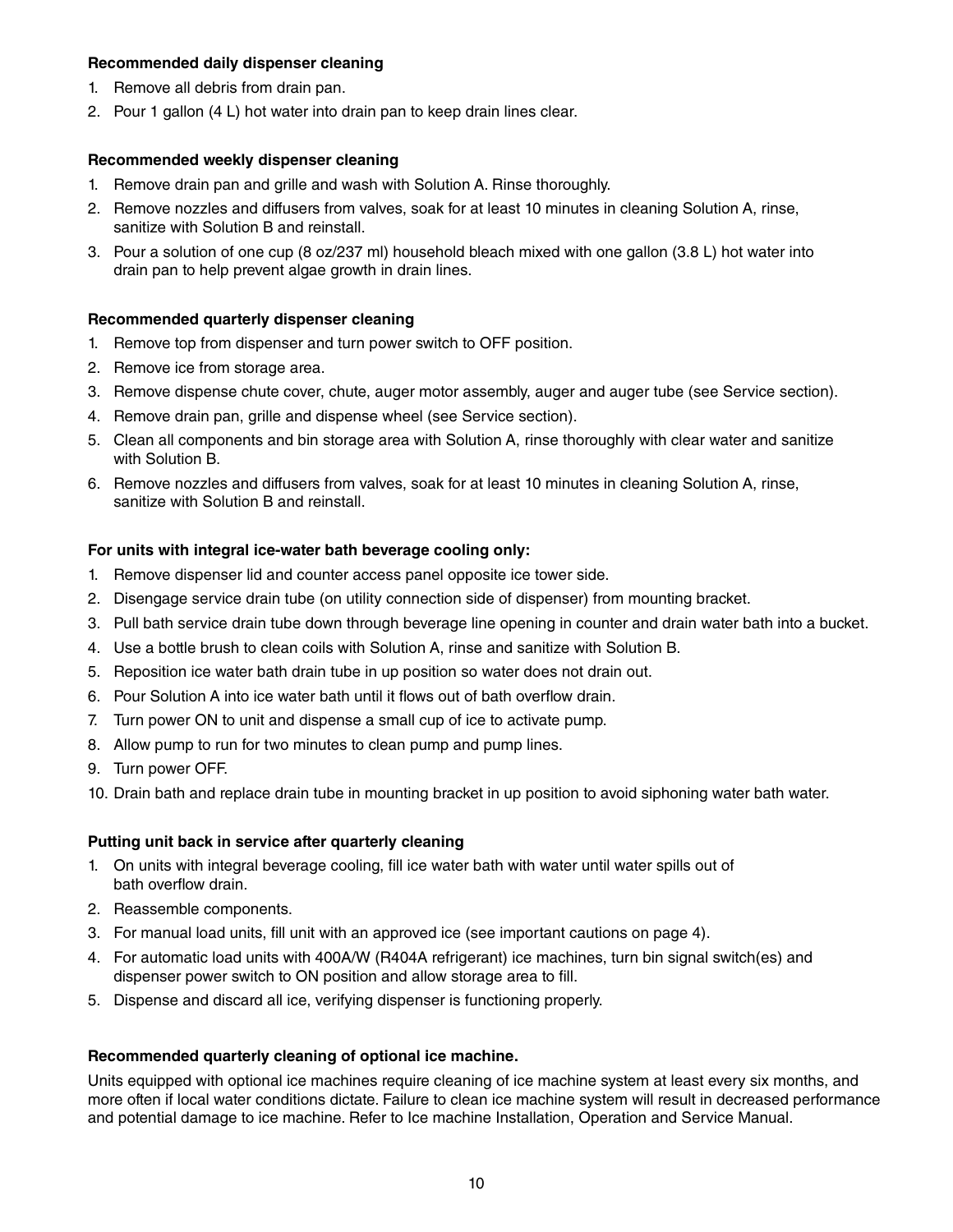#### **Recommended daily dispenser cleaning**

- 1. Remove all debris from drain pan.
- 2. Pour 1 gallon (4 L) hot water into drain pan to keep drain lines clear.

#### **Recommended weekly dispenser cleaning**

- 1. Remove drain pan and grille and wash with Solution A. Rinse thoroughly.
- 2. Remove nozzles and diffusers from valves, soak for at least 10 minutes in cleaning Solution A, rinse, sanitize with Solution B and reinstall.
- 3. Pour a solution of one cup (8 oz/237 ml) household bleach mixed with one gallon (3.8 L) hot water into drain pan to help prevent algae growth in drain lines.

#### **Recommended quarterly dispenser cleaning**

- 1. Remove top from dispenser and turn power switch to OFF position.
- 2. Remove ice from storage area.
- 3. Remove dispense chute cover, chute, auger motor assembly, auger and auger tube (see Service section).
- 4. Remove drain pan, grille and dispense wheel (see Service section).
- 5. Clean all components and bin storage area with Solution A, rinse thoroughly with clear water and sanitize with Solution B.
- 6. Remove nozzles and diffusers from valves, soak for at least 10 minutes in cleaning Solution A, rinse, sanitize with Solution B and reinstall.

#### **For units with integral ice-water bath beverage cooling only:**

- 1. Remove dispenser lid and counter access panel opposite ice tower side.
- 2. Disengage service drain tube (on utility connection side of dispenser) from mounting bracket.
- 3. Pull bath service drain tube down through beverage line opening in counter and drain water bath into a bucket.
- 4. Use a bottle brush to clean coils with Solution A, rinse and sanitize with Solution B.
- 5. Reposition ice water bath drain tube in up position so water does not drain out.
- 6. Pour Solution A into ice water bath until it flows out of bath overflow drain.
- 7. Turn power ON to unit and dispense a small cup of ice to activate pump.
- 8. Allow pump to run for two minutes to clean pump and pump lines.
- 9. Turn power OFF.
- 10. Drain bath and replace drain tube in mounting bracket in up position to avoid siphoning water bath water.

#### **Putting unit back in service after quarterly cleaning**

- 1. On units with integral beverage cooling, fill ice water bath with water until water spills out of bath overflow drain.
- 2. Reassemble components.
- 3. For manual load units, fill unit with an approved ice (see important cautions on page 4).
- 4. For automatic load units with 400A/W (R404A refrigerant) ice machines, turn bin signal switch(es) and dispenser power switch to ON position and allow storage area to fill.
- 5. Dispense and discard all ice, verifying dispenser is functioning properly.

#### **Recommended quarterly cleaning of optional ice machine.**

Units equipped with optional ice machines require cleaning of ice machine system at least every six months, and more often if local water conditions dictate. Failure to clean ice machine system will result in decreased performance and potential damage to ice machine. Refer to Ice machine Installation, Operation and Service Manual.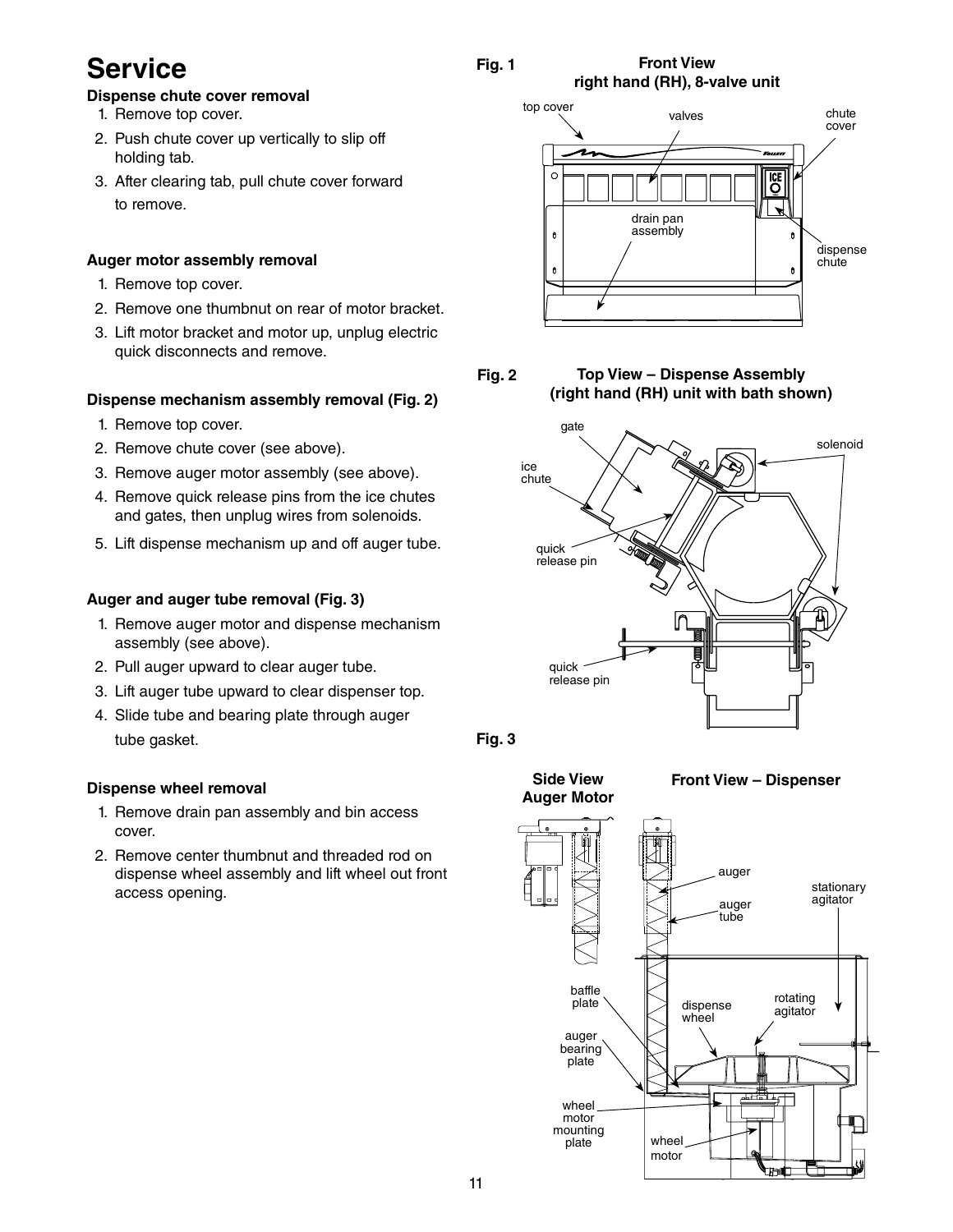## **Service**

### **Fig. 1**

#### **Front View right hand (RH), 8-valve unit**

- **Dispense chute cover removal**
- 1. Remove top cover.
- 2. Push chute cover up vertically to slip off holding tab.
- 3. After clearing tab, pull chute cover forward to remove.

#### **Auger motor assembly removal**

- 1. Remove top cover.
- 2. Remove one thumbnut on rear of motor bracket.
- 3. Lift motor bracket and motor up, unplug electric quick disconnects and remove.

#### **Dispense mechanism assembly removal (Fig. 2)**

- 1. Remove top cover.
- 2. Remove chute cover (see above).
- 3. Remove auger motor assembly (see above).
- 4. Remove quick release pins from the ice chutes and gates, then unplug wires from solenoids.
- 5. Lift dispense mechanism up and off auger tube.

#### **Auger and auger tube removal (Fig. 3)**

- 1. Remove auger motor and dispense mechanism assembly (see above).
- 2. Pull auger upward to clear auger tube.
- 3. Lift auger tube upward to clear dispenser top.
- 4. Slide tube and bearing plate through auger tube gasket.

#### **Dispense wheel removal**

- 1. Remove drain pan assembly and bin access cover.
- 2. Remove center thumbnut and threaded rod on dispense wheel assembly and lift wheel out front access opening.



**Fig. 2 Top View – Dispense Assembly (right hand (RH) unit with bath shown)**





**Side View Auger Motor**



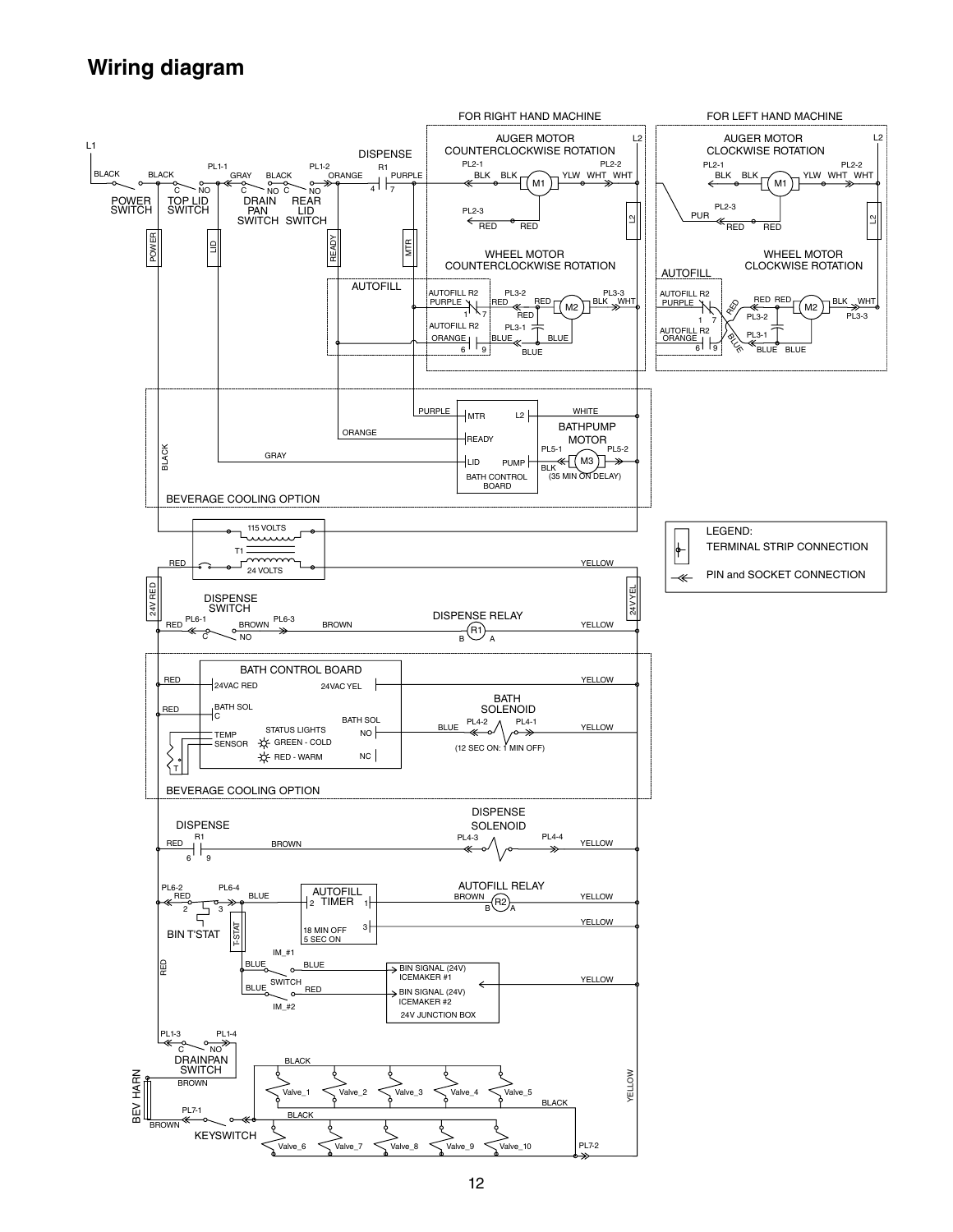## **Wiring diagram**

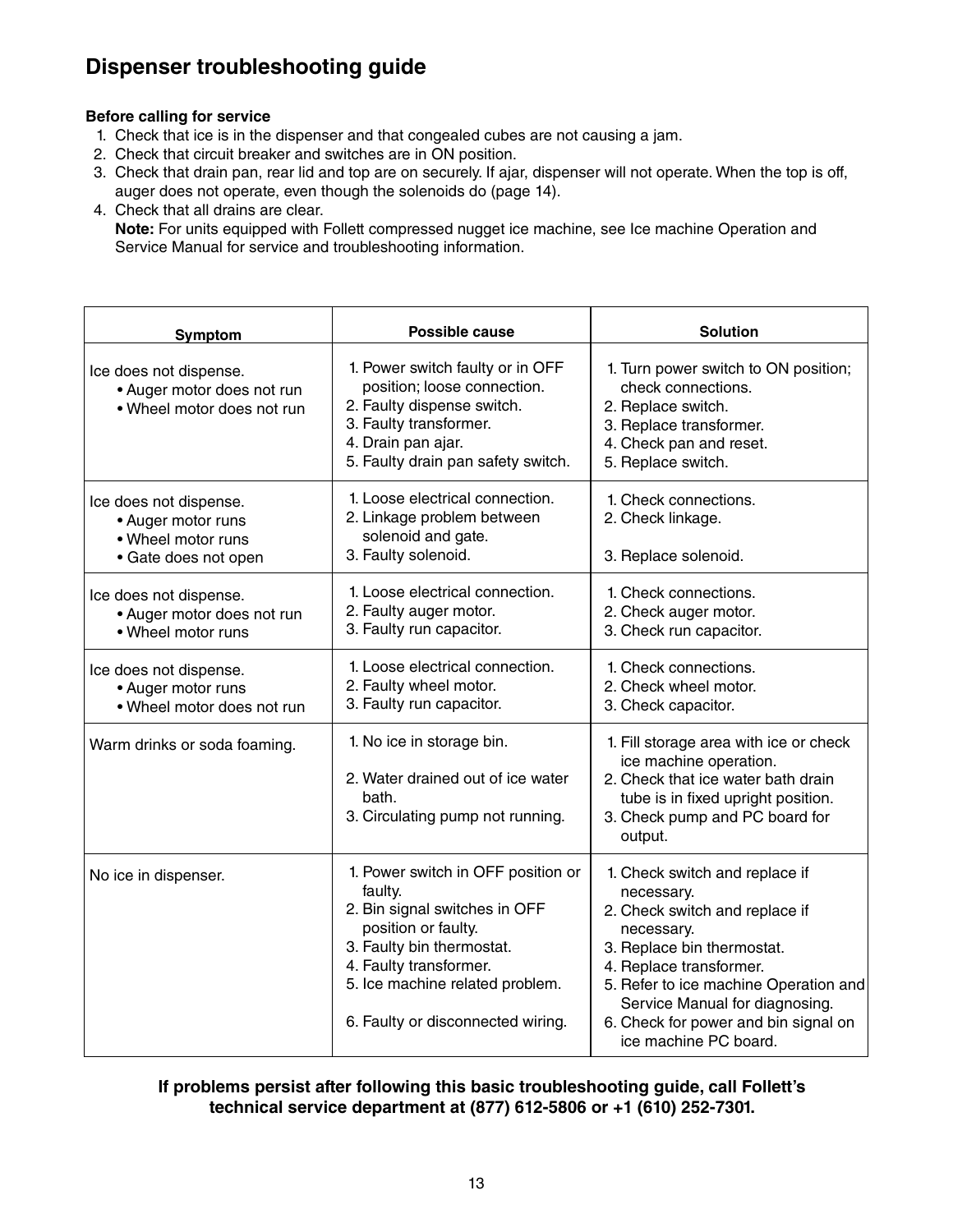## **Dispenser troubleshooting guide**

#### **Before calling for service**

- 1. Check that ice is in the dispenser and that congealed cubes are not causing a jam.
- 2. Check that circuit breaker and switches are in ON position.
- 3. Check that drain pan, rear lid and top are on securely. If ajar, dispenser will not operate. When the top is off, auger does not operate, even though the solenoids do (page 14).
- 4. Check that all drains are clear.

 **Note:** For units equipped with Follett compressed nugget ice machine, see Ice machine Operation and Service Manual for service and troubleshooting information.

| Symptom                                                                                    | Possible cause                                                                                                                                                                                                                       | <b>Solution</b>                                                                                                                                                                                                                                                                                   |
|--------------------------------------------------------------------------------------------|--------------------------------------------------------------------------------------------------------------------------------------------------------------------------------------------------------------------------------------|---------------------------------------------------------------------------------------------------------------------------------------------------------------------------------------------------------------------------------------------------------------------------------------------------|
| Ice does not dispense.<br>• Auger motor does not run<br>. Wheel motor does not run         | 1. Power switch faulty or in OFF<br>position; loose connection.<br>2. Faulty dispense switch.<br>3. Faulty transformer.<br>4. Drain pan ajar.<br>5. Faulty drain pan safety switch.                                                  | 1. Turn power switch to ON position;<br>check connections.<br>2. Replace switch.<br>3. Replace transformer.<br>4. Check pan and reset.<br>5. Replace switch.                                                                                                                                      |
| Ice does not dispense.<br>• Auger motor runs<br>• Wheel motor runs<br>• Gate does not open | 1. Loose electrical connection.<br>2. Linkage problem between<br>solenoid and gate.<br>3. Faulty solenoid.                                                                                                                           | 1. Check connections.<br>2. Check linkage.<br>3. Replace solenoid.                                                                                                                                                                                                                                |
| Ice does not dispense.<br>• Auger motor does not run<br>• Wheel motor runs                 | 1. Loose electrical connection.<br>2. Faulty auger motor.<br>3. Faulty run capacitor.                                                                                                                                                | 1. Check connections.<br>2. Check auger motor.<br>3. Check run capacitor.                                                                                                                                                                                                                         |
| Ice does not dispense.<br>• Auger motor runs<br>. Wheel motor does not run                 | 1. Loose electrical connection.<br>2. Faulty wheel motor.<br>3. Faulty run capacitor.                                                                                                                                                | 1. Check connections.<br>2. Check wheel motor.<br>3. Check capacitor.                                                                                                                                                                                                                             |
| Warm drinks or soda foaming.                                                               | 1. No ice in storage bin.<br>2. Water drained out of ice water<br>bath.<br>3. Circulating pump not running.                                                                                                                          | 1. Fill storage area with ice or check<br>ice machine operation.<br>2. Check that ice water bath drain<br>tube is in fixed upright position.<br>3. Check pump and PC board for<br>output.                                                                                                         |
| No ice in dispenser.                                                                       | 1. Power switch in OFF position or<br>faulty.<br>2. Bin signal switches in OFF<br>position or faulty.<br>3. Faulty bin thermostat.<br>4. Faulty transformer.<br>5. Ice machine related problem.<br>6. Faulty or disconnected wiring. | 1. Check switch and replace if<br>necessary.<br>2. Check switch and replace if<br>necessary.<br>3. Replace bin thermostat.<br>4. Replace transformer.<br>5. Refer to ice machine Operation and<br>Service Manual for diagnosing.<br>6. Check for power and bin signal on<br>ice machine PC board. |

**If problems persist after following this basic troubleshooting guide, call Follett's technical service department at (877) 612-5806 or +1 (610) 252-7301.**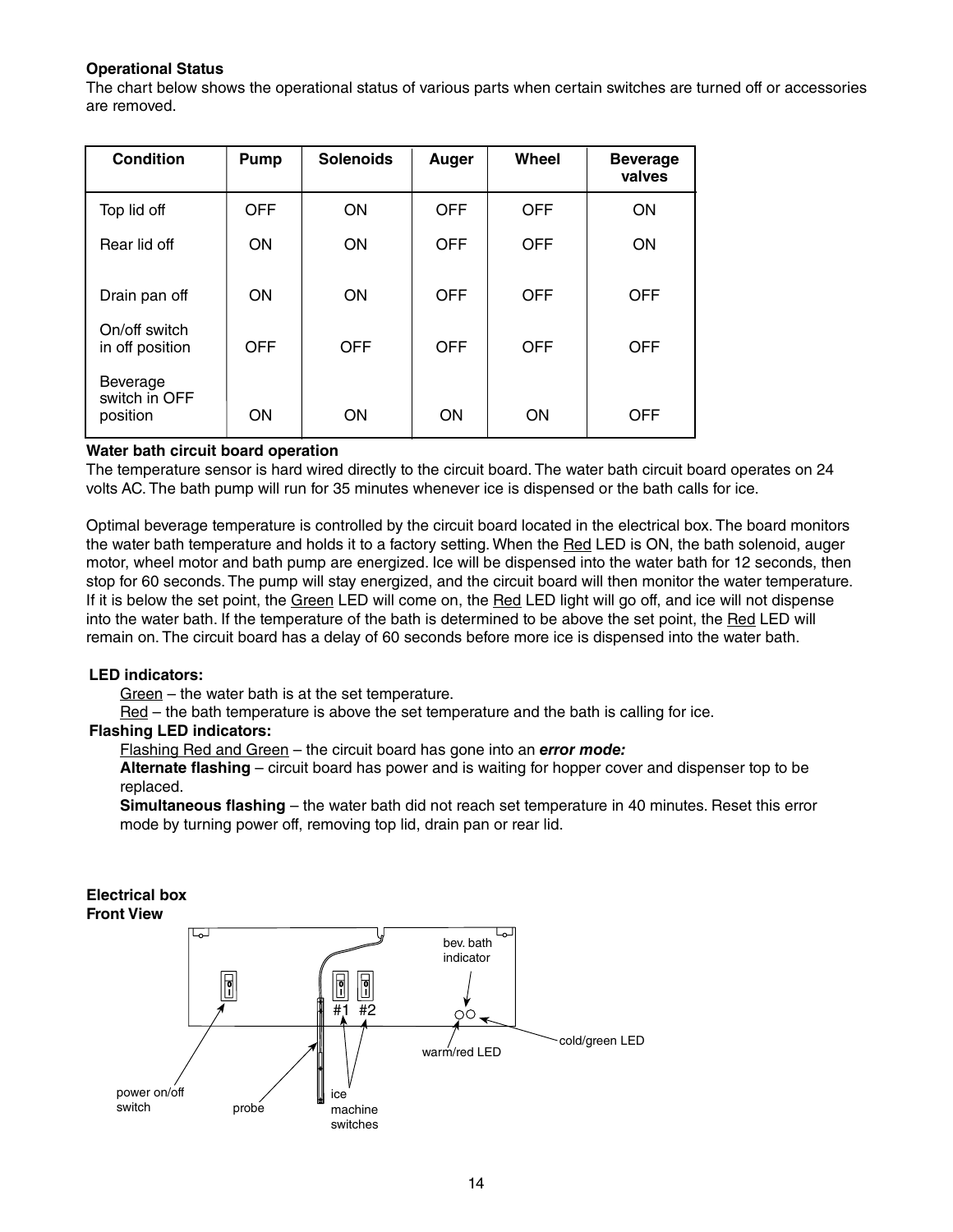#### **Operational Status**

The chart below shows the operational status of various parts when certain switches are turned off or accessories are removed.

| <b>Condition</b>                      | <b>Pump</b> | <b>Solenoids</b> | Auger      | Wheel      | <b>Beverage</b><br>valves |
|---------------------------------------|-------------|------------------|------------|------------|---------------------------|
| Top lid off                           | <b>OFF</b>  | <b>ON</b>        | <b>OFF</b> | <b>OFF</b> | <b>ON</b>                 |
| Rear lid off                          | <b>ON</b>   | <b>ON</b>        | <b>OFF</b> | <b>OFF</b> | <b>ON</b>                 |
| Drain pan off                         | <b>ON</b>   | <b>ON</b>        | <b>OFF</b> | <b>OFF</b> | <b>OFF</b>                |
| On/off switch<br>in off position      | <b>OFF</b>  | <b>OFF</b>       | <b>OFF</b> | <b>OFF</b> | <b>OFF</b>                |
| Beverage<br>switch in OFF<br>position | <b>ON</b>   | <b>ON</b>        | ON         | ON         | <b>OFF</b>                |

#### **Water bath circuit board operation**

The temperature sensor is hard wired directly to the circuit board. The water bath circuit board operates on 24 volts AC. The bath pump will run for 35 minutes whenever ice is dispensed or the bath calls for ice.

Optimal beverage temperature is controlled by the circuit board located in the electrical box. The board monitors the water bath temperature and holds it to a factory setting. When the Red LED is ON, the bath solenoid, auger motor, wheel motor and bath pump are energized. Ice will be dispensed into the water bath for 12 seconds, then stop for 60 seconds. The pump will stay energized, and the circuit board will then monitor the water temperature. If it is below the set point, the Green LED will come on, the Red LED light will go off, and ice will not dispense into the water bath. If the temperature of the bath is determined to be above the set point, the Red LED will remain on. The circuit board has a delay of 60 seconds before more ice is dispensed into the water bath.

#### **LED indicators:**

Green – the water bath is at the set temperature.

Red – the bath temperature is above the set temperature and the bath is calling for ice.

#### **Flashing LED indicators:**

Flashing Red and Green – the circuit board has gone into an *error mode:* 

**Alternate flashing** – circuit board has power and is waiting for hopper cover and dispenser top to be replaced.

**Simultaneous flashing** – the water bath did not reach set temperature in 40 minutes. Reset this error mode by turning power off, removing top lid, drain pan or rear lid.

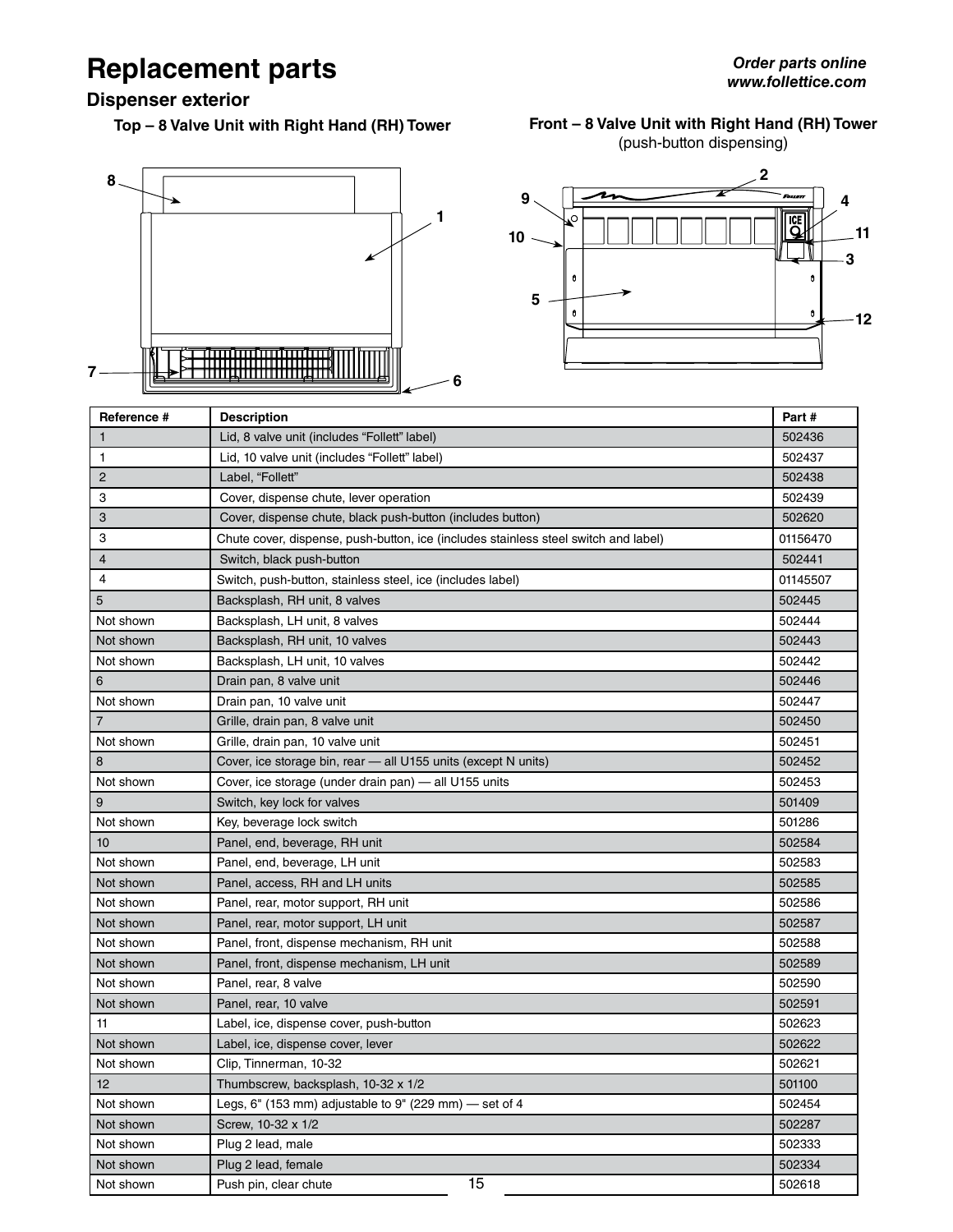# **Replacement parts**

**Dispenser exterior**

**Top – 8 Valve Unit with Right Hand (RH) Tower**

#### **Front – 8 Valve Unit with Right Hand (RH) Tower** (push-button dispensing)





| Reference #    | <b>Description</b>                                                                  | Part#    |
|----------------|-------------------------------------------------------------------------------------|----------|
| $\mathbf{1}$   | Lid, 8 valve unit (includes "Follett" label)                                        | 502436   |
| $\mathbf{1}$   | Lid, 10 valve unit (includes "Follett" label)                                       | 502437   |
| $\overline{2}$ | Label, "Follett"                                                                    | 502438   |
| 3              | Cover, dispense chute, lever operation                                              | 502439   |
| 3              | Cover, dispense chute, black push-button (includes button)                          | 502620   |
| 3              | Chute cover, dispense, push-button, ice (includes stainless steel switch and label) | 01156470 |
| $\overline{4}$ | Switch, black push-button                                                           | 502441   |
| 4              | Switch, push-button, stainless steel, ice (includes label)                          | 01145507 |
| 5              | Backsplash, RH unit, 8 valves                                                       | 502445   |
| Not shown      | Backsplash, LH unit, 8 valves                                                       | 502444   |
| Not shown      | Backsplash, RH unit, 10 valves                                                      | 502443   |
| Not shown      | Backsplash, LH unit, 10 valves                                                      | 502442   |
| 6              | Drain pan, 8 valve unit                                                             | 502446   |
| Not shown      | Drain pan, 10 valve unit                                                            | 502447   |
| $\overline{7}$ | Grille, drain pan, 8 valve unit                                                     | 502450   |
| Not shown      | Grille, drain pan, 10 valve unit                                                    | 502451   |
| 8              | Cover, ice storage bin, rear - all U155 units (except N units)                      | 502452   |
| Not shown      | Cover, ice storage (under drain pan) - all U155 units                               | 502453   |
| 9              | Switch, key lock for valves                                                         | 501409   |
| Not shown      | Key, beverage lock switch                                                           | 501286   |
| 10             | Panel, end, beverage, RH unit                                                       | 502584   |
| Not shown      | Panel, end, beverage, LH unit                                                       | 502583   |
| Not shown      | Panel, access, RH and LH units                                                      | 502585   |
| Not shown      | Panel, rear, motor support, RH unit                                                 | 502586   |
| Not shown      | Panel, rear, motor support, LH unit                                                 | 502587   |
| Not shown      | Panel, front, dispense mechanism, RH unit                                           | 502588   |
| Not shown      | Panel, front, dispense mechanism, LH unit                                           | 502589   |
| Not shown      | Panel, rear, 8 valve                                                                | 502590   |
| Not shown      | Panel, rear, 10 valve                                                               | 502591   |
| 11             | Label, ice, dispense cover, push-button                                             | 502623   |
| Not shown      | Label, ice, dispense cover, lever                                                   | 502622   |
| Not shown      | Clip, Tinnerman, 10-32                                                              | 502621   |
| 12             | Thumbscrew, backsplash, 10-32 x 1/2                                                 | 501100   |
| Not shown      | Legs, $6"$ (153 mm) adjustable to 9" (229 mm) – set of 4                            | 502454   |
| Not shown      | Screw, 10-32 x 1/2                                                                  | 502287   |
| Not shown      | Plug 2 lead, male                                                                   | 502333   |
| Not shown      | Plug 2 lead, female                                                                 | 502334   |
| Not shown      | 15<br>Push pin, clear chute                                                         | 502618   |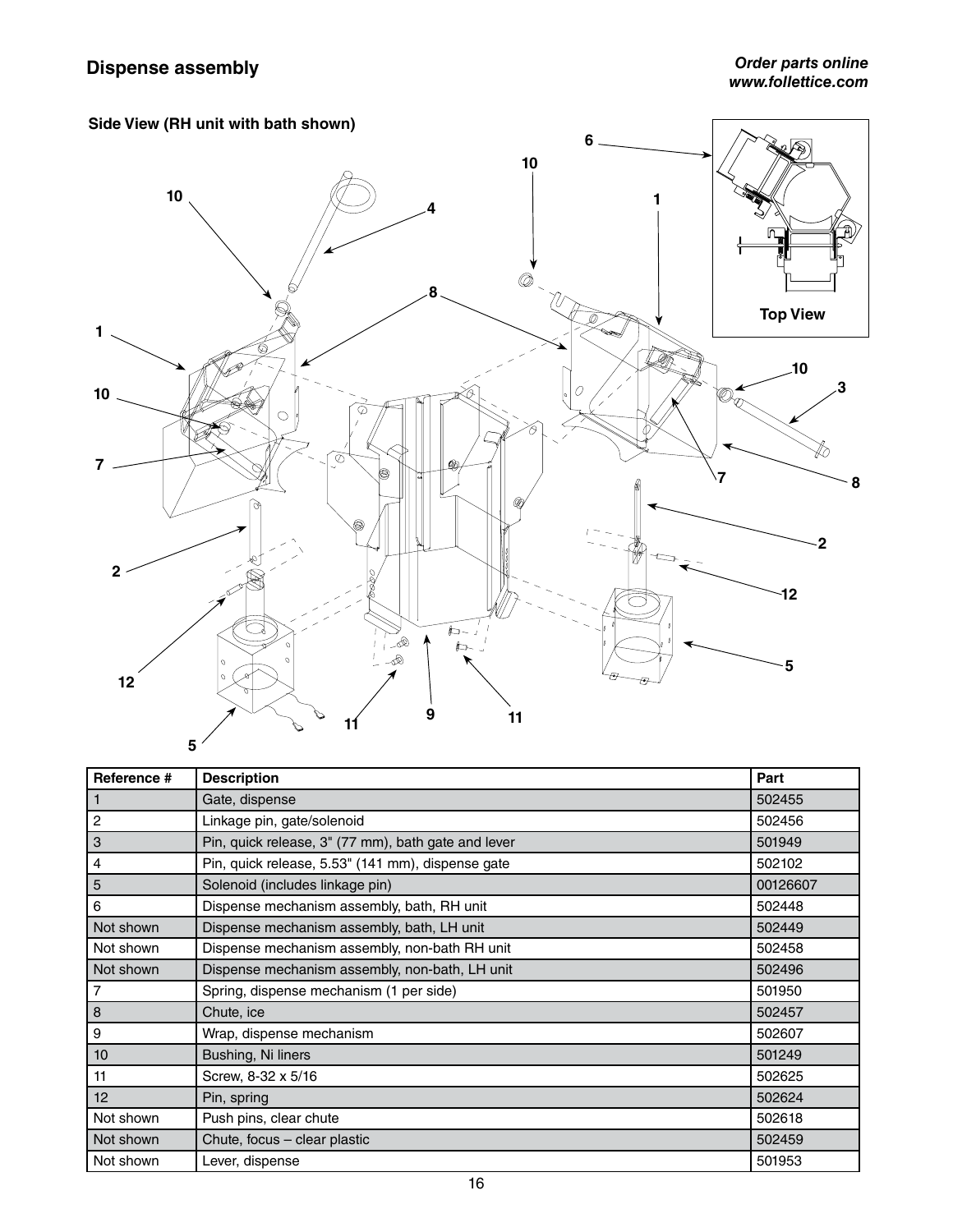

| Reference #    | <b>Description</b>                                  | Part     |
|----------------|-----------------------------------------------------|----------|
|                | Gate, dispense                                      | 502455   |
| $\overline{c}$ | Linkage pin, gate/solenoid                          | 502456   |
| 3              | Pin, quick release, 3" (77 mm), bath gate and lever | 501949   |
| 4              | Pin, quick release, 5.53" (141 mm), dispense gate   | 502102   |
| 5              | Solenoid (includes linkage pin)                     | 00126607 |
| 6              | Dispense mechanism assembly, bath, RH unit          | 502448   |
| Not shown      | Dispense mechanism assembly, bath, LH unit          | 502449   |
| Not shown      | Dispense mechanism assembly, non-bath RH unit       | 502458   |
| Not shown      | Dispense mechanism assembly, non-bath, LH unit      | 502496   |
| 7              | Spring, dispense mechanism (1 per side)             | 501950   |
| 8              | Chute, ice                                          | 502457   |
| 9              | Wrap, dispense mechanism                            | 502607   |
| 10             | Bushing, Ni liners                                  | 501249   |
| 11             | Screw, 8-32 x 5/16                                  | 502625   |
| 12             | Pin, spring                                         | 502624   |
| Not shown      | Push pins, clear chute                              | 502618   |
| Not shown      | Chute, focus - clear plastic                        | 502459   |
| Not shown      | Lever, dispense                                     | 501953   |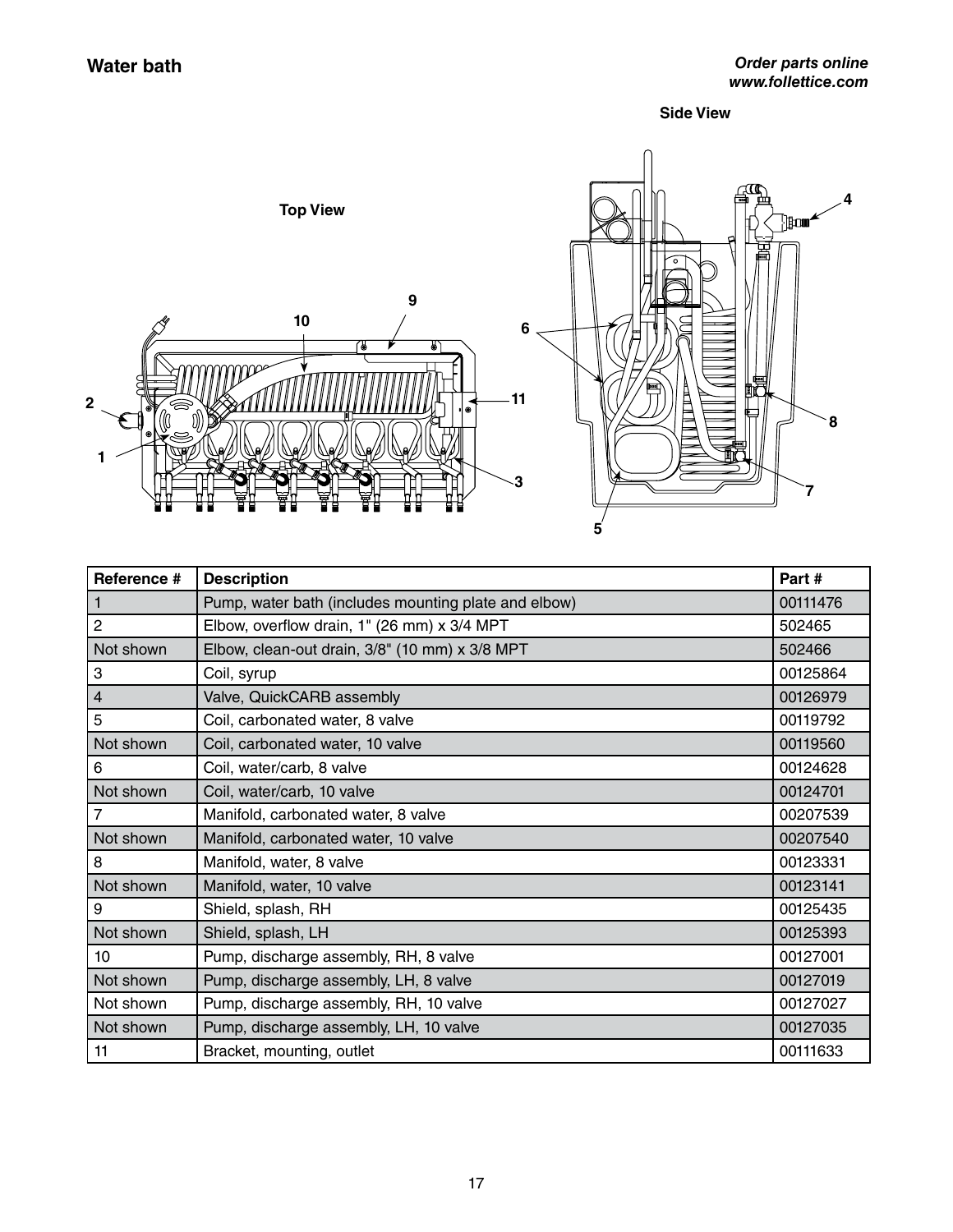**Side View**



| Reference #    | <b>Description</b>                                   | Part#    |
|----------------|------------------------------------------------------|----------|
| 1              | Pump, water bath (includes mounting plate and elbow) | 00111476 |
| $\overline{c}$ | Elbow, overflow drain, 1" (26 mm) x 3/4 MPT          | 502465   |
| Not shown      | Elbow, clean-out drain, 3/8" (10 mm) x 3/8 MPT       | 502466   |
| 3              | Coil, syrup                                          | 00125864 |
| $\overline{4}$ | Valve, QuickCARB assembly                            | 00126979 |
| 5              | Coil, carbonated water, 8 valve                      | 00119792 |
| Not shown      | Coil, carbonated water, 10 valve                     | 00119560 |
| 6              | Coil, water/carb, 8 valve                            | 00124628 |
| Not shown      | Coil, water/carb, 10 valve                           | 00124701 |
| 7              | Manifold, carbonated water, 8 valve                  | 00207539 |
| Not shown      | Manifold, carbonated water, 10 valve                 | 00207540 |
| 8              | Manifold, water, 8 valve                             | 00123331 |
| Not shown      | Manifold, water, 10 valve                            | 00123141 |
| 9              | Shield, splash, RH                                   | 00125435 |
| Not shown      | Shield, splash, LH                                   | 00125393 |
| 10             | Pump, discharge assembly, RH, 8 valve                | 00127001 |
| Not shown      | Pump, discharge assembly, LH, 8 valve                | 00127019 |
| Not shown      | Pump, discharge assembly, RH, 10 valve               | 00127027 |
| Not shown      | Pump, discharge assembly, LH, 10 valve               | 00127035 |
| 11             | Bracket, mounting, outlet                            | 00111633 |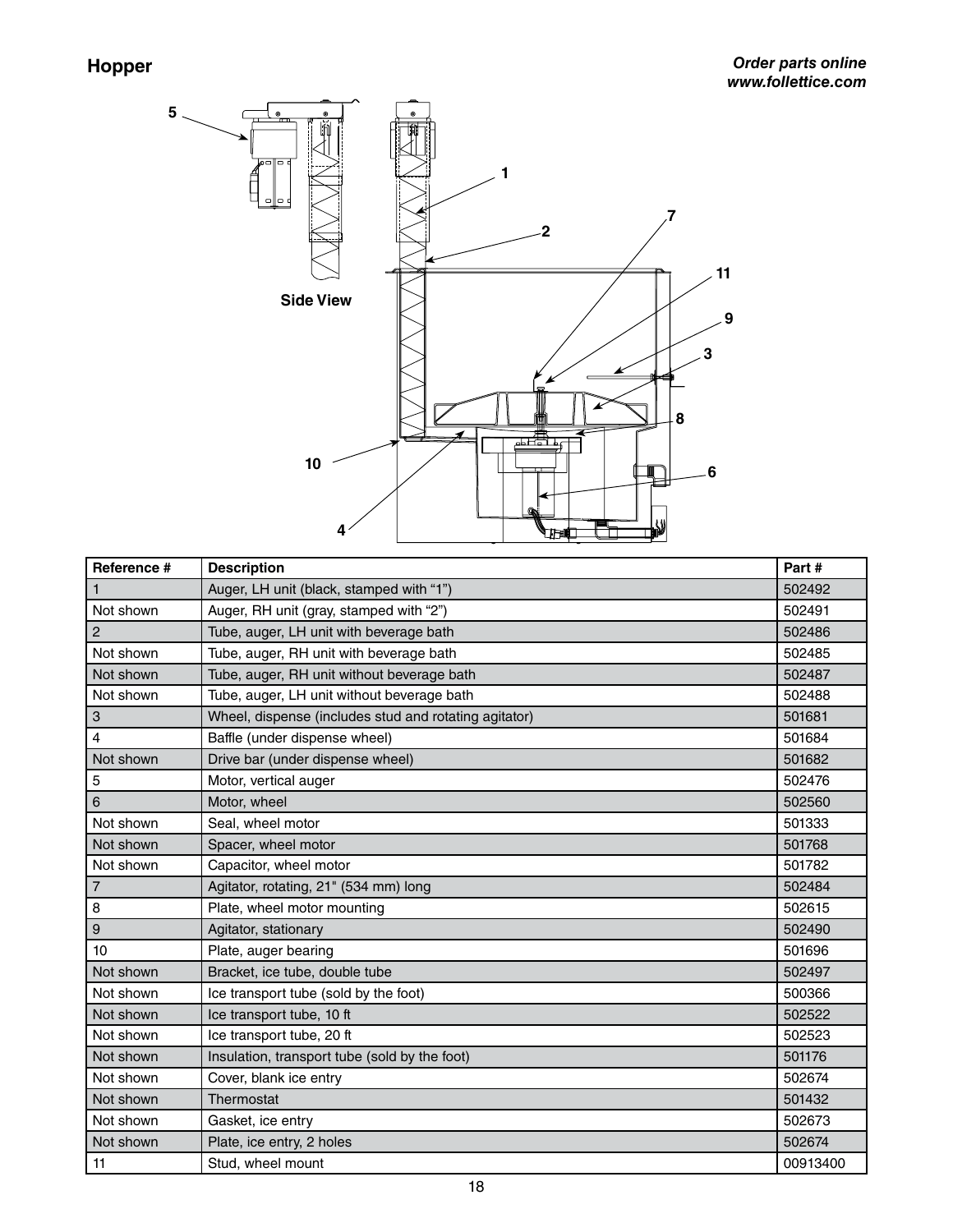**5**



| Reference #    | <b>Description</b>                                    | Part#    |
|----------------|-------------------------------------------------------|----------|
| 1              | Auger, LH unit (black, stamped with "1")              | 502492   |
| Not shown      | Auger, RH unit (gray, stamped with "2")               | 502491   |
| $\overline{c}$ | Tube, auger, LH unit with beverage bath               | 502486   |
| Not shown      | Tube, auger, RH unit with beverage bath               | 502485   |
| Not shown      | Tube, auger, RH unit without beverage bath            | 502487   |
| Not shown      | Tube, auger, LH unit without beverage bath            | 502488   |
| 3              | Wheel, dispense (includes stud and rotating agitator) | 501681   |
| 4              | Baffle (under dispense wheel)                         | 501684   |
| Not shown      | Drive bar (under dispense wheel)                      | 501682   |
| 5              | Motor, vertical auger                                 | 502476   |
| 6              | Motor, wheel                                          | 502560   |
| Not shown      | Seal, wheel motor                                     | 501333   |
| Not shown      | Spacer, wheel motor                                   | 501768   |
| Not shown      | Capacitor, wheel motor                                | 501782   |
| $\overline{7}$ | Agitator, rotating, 21" (534 mm) long                 | 502484   |
| 8              | Plate, wheel motor mounting                           | 502615   |
| 9              | Agitator, stationary                                  | 502490   |
| 10             | Plate, auger bearing                                  | 501696   |
| Not shown      | Bracket, ice tube, double tube                        | 502497   |
| Not shown      | Ice transport tube (sold by the foot)                 | 500366   |
| Not shown      | Ice transport tube, 10 ft                             | 502522   |
| Not shown      | Ice transport tube, 20 ft                             | 502523   |
| Not shown      | Insulation, transport tube (sold by the foot)         | 501176   |
| Not shown      | Cover, blank ice entry                                | 502674   |
| Not shown      | Thermostat                                            | 501432   |
| Not shown      | Gasket, ice entry                                     | 502673   |
| Not shown      | Plate, ice entry, 2 holes                             | 502674   |
| 11             | Stud, wheel mount                                     | 00913400 |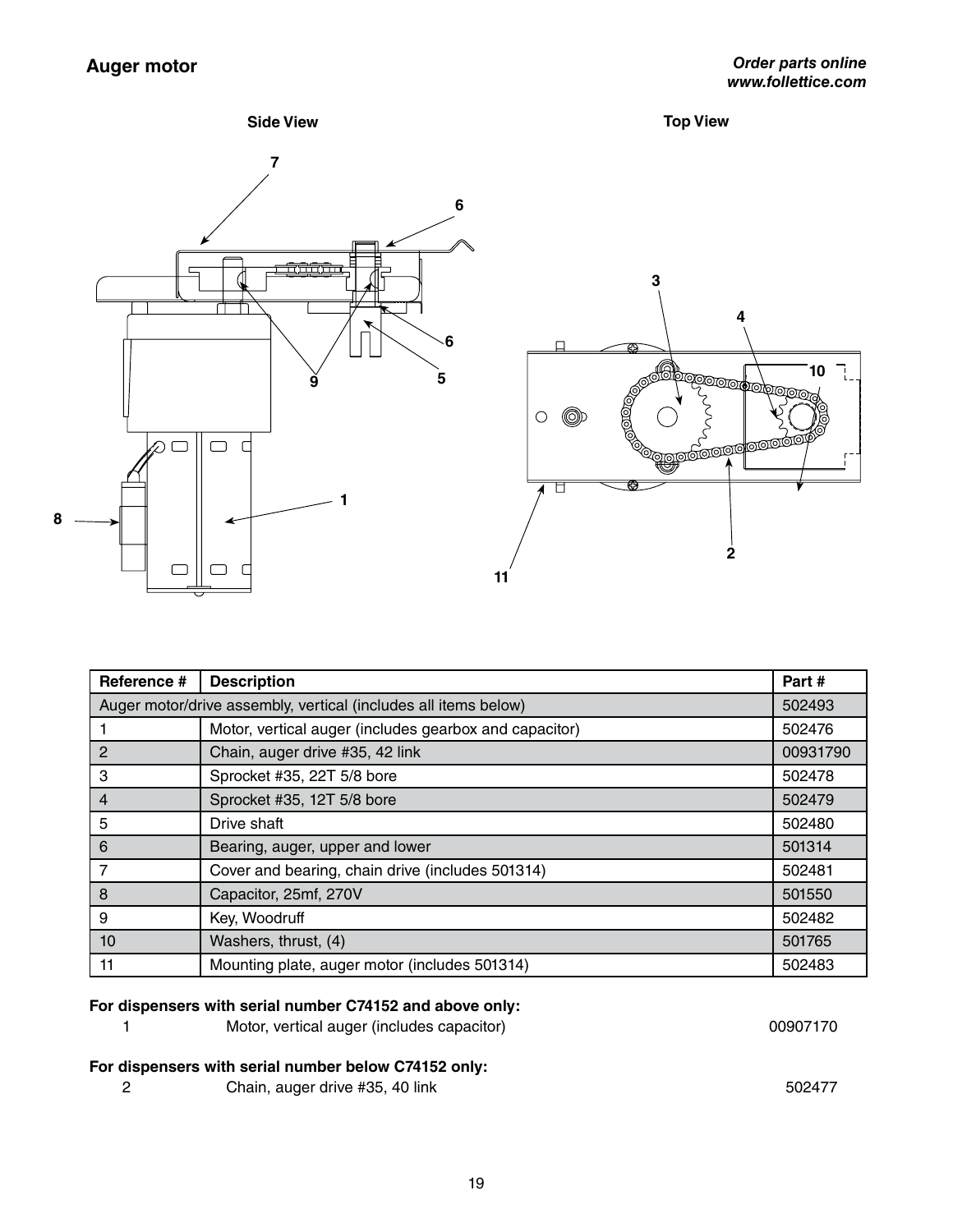

| Reference # | <b>Description</b>                                              | Part#    |
|-------------|-----------------------------------------------------------------|----------|
|             | Auger motor/drive assembly, vertical (includes all items below) | 502493   |
|             | Motor, vertical auger (includes gearbox and capacitor)          | 502476   |
| 2           | Chain, auger drive #35, 42 link                                 | 00931790 |
| 3           | Sprocket #35, 22T 5/8 bore                                      | 502478   |
| 4           | Sprocket #35, 12T 5/8 bore                                      | 502479   |
| 5           | Drive shaft                                                     | 502480   |
| 6           | Bearing, auger, upper and lower                                 | 501314   |
|             | Cover and bearing, chain drive (includes 501314)                | 502481   |
| 8           | Capacitor, 25mf, 270V                                           | 501550   |
| 9           | Key, Woodruff                                                   | 502482   |
| 10          | Washers, thrust, (4)                                            | 501765   |
| 11          | Mounting plate, auger motor (includes 501314)                   | 502483   |

### **For dispensers with serial number C74152 and above only:**

| Motor, vertical auger (includes capacitor) | 00907170 |
|--------------------------------------------|----------|
|                                            |          |

## **For dispensers with serial number below C74152 only:**

|  | Chain, auger drive #35, 40 link | 502477 |
|--|---------------------------------|--------|
|--|---------------------------------|--------|